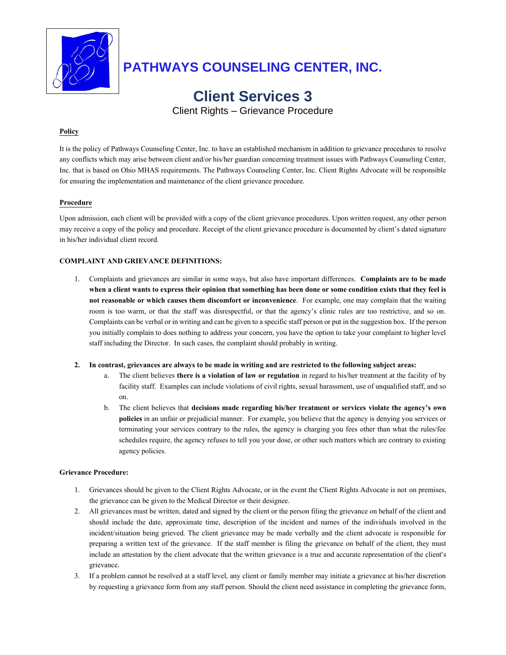

# **PATHWAYS COUNSELING CENTER, INC.**

# **Client Services 3**

Client Rights – Grievance Procedure

### **Policy**

It is the policy of Pathways Counseling Center, Inc. to have an established mechanism in addition to grievance procedures to resolve any conflicts which may arise between client and/or his/her guardian concerning treatment issues with Pathways Counseling Center, Inc. that is based on Ohio MHAS requirements. The Pathways Counseling Center, Inc. Client Rights Advocate will be responsible for ensuring the implementation and maintenance of the client grievance procedure.

#### **Procedure**

Upon admission, each client will be provided with a copy of the client grievance procedures. Upon written request, any other person may receive a copy of the policy and procedure. Receipt of the client grievance procedure is documented by client's dated signature in his/her individual client record.

## **COMPLAINT AND GRIEVANCE DEFINITIONS:**

- 1. Complaints and grievances are similar in some ways, but also have important differences. **Complaints are to be made when a client wants to express their opinion that something has been done or some condition exists that they feel is not reasonable or which causes them discomfort or inconvenience**. For example, one may complain that the waiting room is too warm, or that the staff was disrespectful, or that the agency's clinic rules are too restrictive, and so on. Complaints can be verbal or in writing and can be given to a specific staff person or put in the suggestion box. If the person you initially complain to does nothing to address your concern, you have the option to take your complaint to higher level staff including the Director. In such cases, the complaint should probably in writing.
- **2. In contrast, grievances are always to be made in writing and are restricted to the following subject areas:**
	- a. The client believes **there is a violation of law or regulation** in regard to his/her treatment at the facility of by facility staff. Examples can include violations of civil rights, sexual harassment, use of unqualified staff, and so on.
	- b. The client believes that **decisions made regarding his/her treatment or services violate the agency's own policies** in an unfair or prejudicial manner. For example, you believe that the agency is denying you services or terminating your services contrary to the rules, the agency is charging you fees other than what the rules/fee schedules require, the agency refuses to tell you your dose, or other such matters which are contrary to existing agency policies.

#### **Grievance Procedure:**

- 1. Grievances should be given to the Client Rights Advocate, or in the event the Client Rights Advocate is not on premises, the grievance can be given to the Medical Director or their designee.
- 2. All grievances must be written, dated and signed by the client or the person filing the grievance on behalf of the client and should include the date, approximate time, description of the incident and names of the individuals involved in the incident/situation being grieved. The client grievance may be made verbally and the client advocate is responsible for preparing a written text of the grievance. If the staff member is filing the grievance on behalf of the client, they must include an attestation by the client advocate that the written grievance is a true and accurate representation of the client's grievance.
- 3. If a problem cannot be resolved at a staff level, any client or family member may initiate a grievance at his/her discretion by requesting a grievance form from any staff person. Should the client need assistance in completing the grievance form,